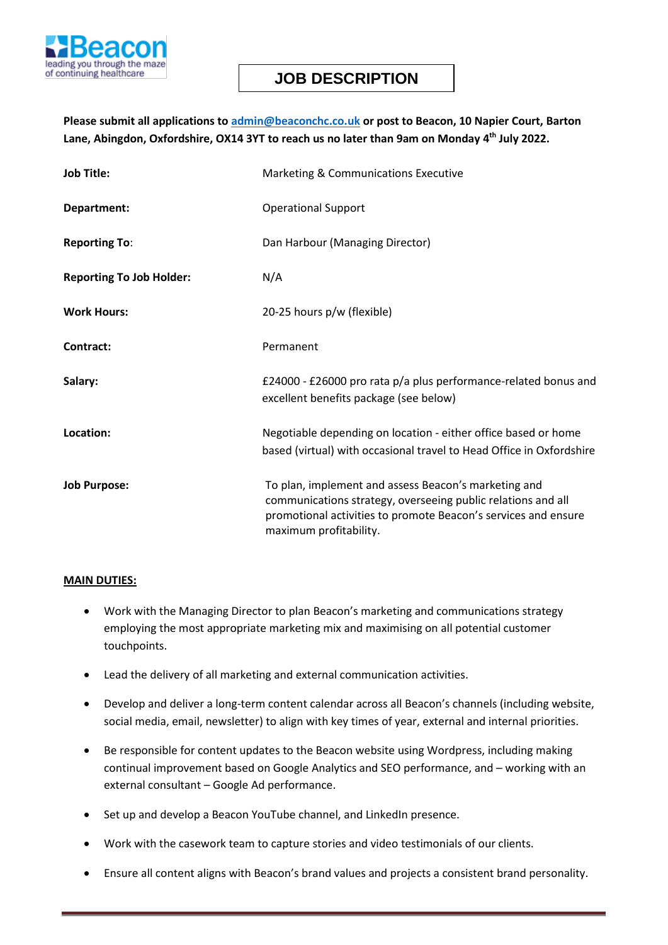

# **JOB DESCRIPTION**

### **Please submit all applications to [admin@beaconchc.co.uk](mailto:admin@beaconchc.co.uk) or post to Beacon, 10 Napier Court, Barton Lane, Abingdon, Oxfordshire, OX14 3YT to reach us no later than 9am on Monday 4 th July 2022.**

| <b>Job Title:</b>               | <b>Marketing &amp; Communications Executive</b>                                                                                                                                                                  |  |
|---------------------------------|------------------------------------------------------------------------------------------------------------------------------------------------------------------------------------------------------------------|--|
| Department:                     | <b>Operational Support</b>                                                                                                                                                                                       |  |
| <b>Reporting To:</b>            | Dan Harbour (Managing Director)                                                                                                                                                                                  |  |
| <b>Reporting To Job Holder:</b> | N/A                                                                                                                                                                                                              |  |
| <b>Work Hours:</b>              | 20-25 hours p/w (flexible)                                                                                                                                                                                       |  |
| Contract:                       | Permanent                                                                                                                                                                                                        |  |
| Salary:                         | £24000 - £26000 pro rata p/a plus performance-related bonus and<br>excellent benefits package (see below)                                                                                                        |  |
| Location:                       | Negotiable depending on location - either office based or home<br>based (virtual) with occasional travel to Head Office in Oxfordshire                                                                           |  |
| <b>Job Purpose:</b>             | To plan, implement and assess Beacon's marketing and<br>communications strategy, overseeing public relations and all<br>promotional activities to promote Beacon's services and ensure<br>maximum profitability. |  |

#### **MAIN DUTIES:**

- Work with the Managing Director to plan Beacon's marketing and communications strategy employing the most appropriate marketing mix and maximising on all potential customer touchpoints.
- Lead the delivery of all marketing and external communication activities.
- Develop and deliver a long-term content calendar across all Beacon's channels (including website, social media, email, newsletter) to align with key times of year, external and internal priorities.
- Be responsible for content updates to the Beacon website using Wordpress, including making continual improvement based on Google Analytics and SEO performance, and – working with an external consultant – Google Ad performance.
- Set up and develop a Beacon YouTube channel, and LinkedIn presence.
- Work with the casework team to capture stories and video testimonials of our clients.
- Ensure all content aligns with Beacon's brand values and projects a consistent brand personality.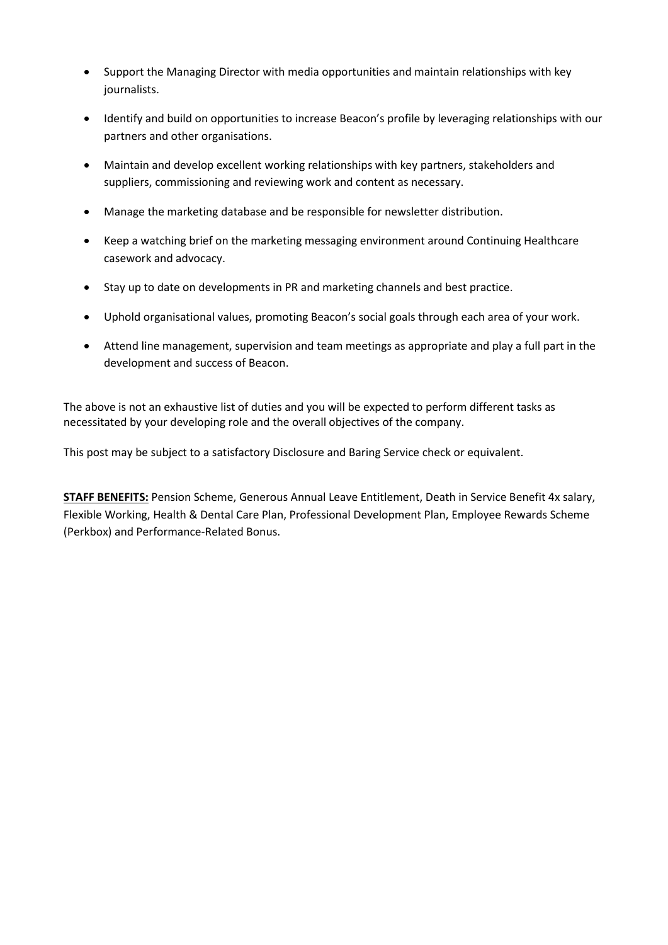- Support the Managing Director with media opportunities and maintain relationships with key journalists.
- Identify and build on opportunities to increase Beacon's profile by leveraging relationships with our partners and other organisations.
- Maintain and develop excellent working relationships with key partners, stakeholders and suppliers, commissioning and reviewing work and content as necessary.
- Manage the marketing database and be responsible for newsletter distribution.
- Keep a watching brief on the marketing messaging environment around Continuing Healthcare casework and advocacy.
- Stay up to date on developments in PR and marketing channels and best practice.
- Uphold organisational values, promoting Beacon's social goals through each area of your work.
- Attend line management, supervision and team meetings as appropriate and play a full part in the development and success of Beacon.

The above is not an exhaustive list of duties and you will be expected to perform different tasks as necessitated by your developing role and the overall objectives of the company.

This post may be subject to a satisfactory Disclosure and Baring Service check or equivalent.

**STAFF BENEFITS:** Pension Scheme, Generous Annual Leave Entitlement, Death in Service Benefit 4x salary, Flexible Working, Health & Dental Care Plan, Professional Development Plan, Employee Rewards Scheme (Perkbox) and Performance-Related Bonus.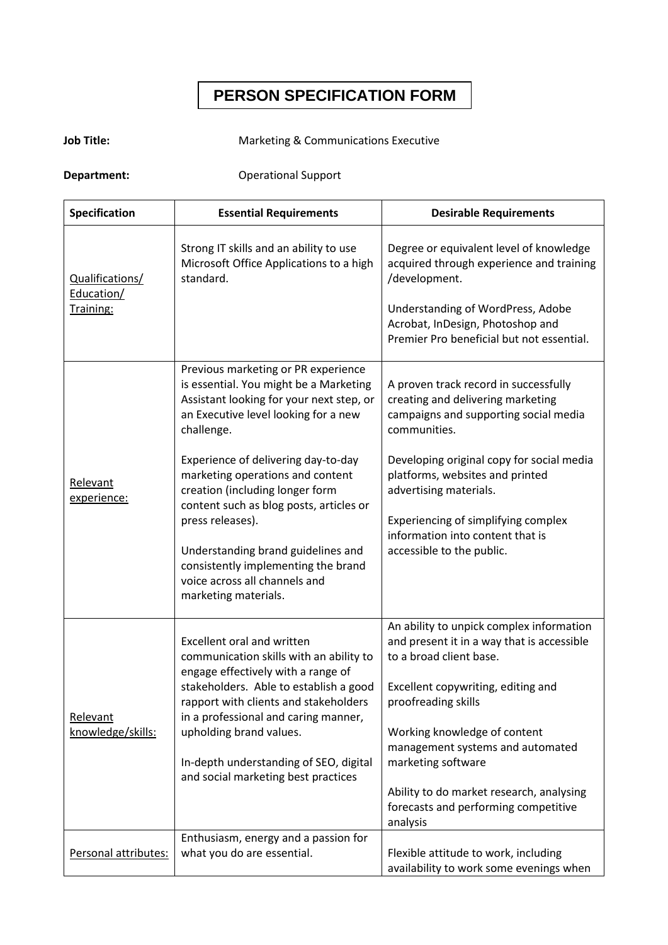# **PERSON SPECIFICATION FORM**

# **Job Title:** Marketing & Communications Executive

**Department:** Operational Support

| Specification                              | <b>Essential Requirements</b>                                                                                                                                                                                                                                                                                                                                                                                                                                                                      | <b>Desirable Requirements</b>                                                                                                                                                                                                                                                                                                                                            |
|--------------------------------------------|----------------------------------------------------------------------------------------------------------------------------------------------------------------------------------------------------------------------------------------------------------------------------------------------------------------------------------------------------------------------------------------------------------------------------------------------------------------------------------------------------|--------------------------------------------------------------------------------------------------------------------------------------------------------------------------------------------------------------------------------------------------------------------------------------------------------------------------------------------------------------------------|
| Qualifications/<br>Education/<br>Training: | Strong IT skills and an ability to use<br>Microsoft Office Applications to a high<br>standard.                                                                                                                                                                                                                                                                                                                                                                                                     | Degree or equivalent level of knowledge<br>acquired through experience and training<br>/development.<br>Understanding of WordPress, Adobe<br>Acrobat, InDesign, Photoshop and<br>Premier Pro beneficial but not essential.                                                                                                                                               |
| Relevant<br>experience:                    | Previous marketing or PR experience<br>is essential. You might be a Marketing<br>Assistant looking for your next step, or<br>an Executive level looking for a new<br>challenge.<br>Experience of delivering day-to-day<br>marketing operations and content<br>creation (including longer form<br>content such as blog posts, articles or<br>press releases).<br>Understanding brand guidelines and<br>consistently implementing the brand<br>voice across all channels and<br>marketing materials. | A proven track record in successfully<br>creating and delivering marketing<br>campaigns and supporting social media<br>communities.<br>Developing original copy for social media<br>platforms, websites and printed<br>advertising materials.<br>Experiencing of simplifying complex<br>information into content that is<br>accessible to the public.                    |
| Relevant<br>knowledge/skills:              | <b>Excellent oral and written</b><br>communication skills with an ability to<br>engage effectively with a range of<br>stakeholders. Able to establish a good<br>rapport with clients and stakeholders<br>in a professional and caring manner,<br>upholding brand values.<br>In-depth understanding of SEO, digital<br>and social marketing best practices                                                                                                                                          | An ability to unpick complex information<br>and present it in a way that is accessible<br>to a broad client base.<br>Excellent copywriting, editing and<br>proofreading skills<br>Working knowledge of content<br>management systems and automated<br>marketing software<br>Ability to do market research, analysing<br>forecasts and performing competitive<br>analysis |
| Personal attributes:                       | Enthusiasm, energy and a passion for<br>what you do are essential.                                                                                                                                                                                                                                                                                                                                                                                                                                 | Flexible attitude to work, including<br>availability to work some evenings when                                                                                                                                                                                                                                                                                          |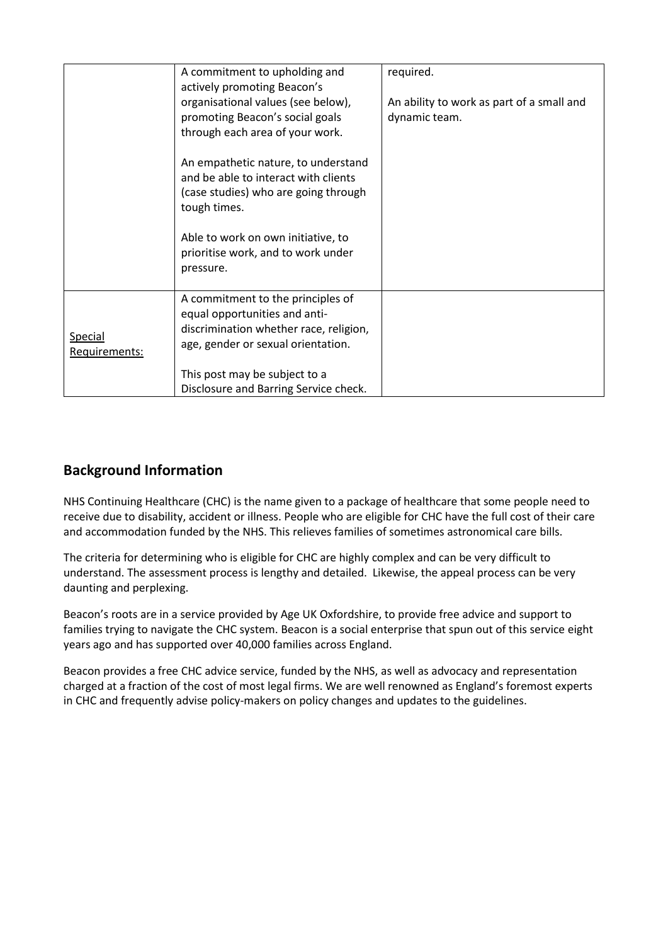|                                 | A commitment to upholding and<br>actively promoting Beacon's                                                                                       | required.                                                  |
|---------------------------------|----------------------------------------------------------------------------------------------------------------------------------------------------|------------------------------------------------------------|
|                                 | organisational values (see below),<br>promoting Beacon's social goals<br>through each area of your work.                                           | An ability to work as part of a small and<br>dynamic team. |
|                                 | An empathetic nature, to understand<br>and be able to interact with clients<br>(case studies) who are going through<br>tough times.                |                                                            |
|                                 | Able to work on own initiative, to<br>prioritise work, and to work under<br>pressure.                                                              |                                                            |
| <b>Special</b><br>Requirements: | A commitment to the principles of<br>equal opportunities and anti-<br>discrimination whether race, religion,<br>age, gender or sexual orientation. |                                                            |
|                                 | This post may be subject to a<br>Disclosure and Barring Service check.                                                                             |                                                            |

# **Background Information**

NHS Continuing Healthcare (CHC) is the name given to a package of healthcare that some people need to receive due to disability, accident or illness. People who are eligible for CHC have the full cost of their care and accommodation funded by the NHS. This relieves families of sometimes astronomical care bills.

The criteria for determining who is eligible for CHC are highly complex and can be very difficult to understand. The assessment process is lengthy and detailed. Likewise, the appeal process can be very daunting and perplexing.

Beacon's roots are in a service provided by Age UK Oxfordshire, to provide free advice and support to families trying to navigate the CHC system. Beacon is a social enterprise that spun out of this service eight years ago and has supported over 40,000 families across England.

Beacon provides a free CHC advice service, funded by the NHS, as well as advocacy and representation charged at a fraction of the cost of most legal firms. We are well renowned as England's foremost experts in CHC and frequently advise policy-makers on policy changes and updates to the guidelines.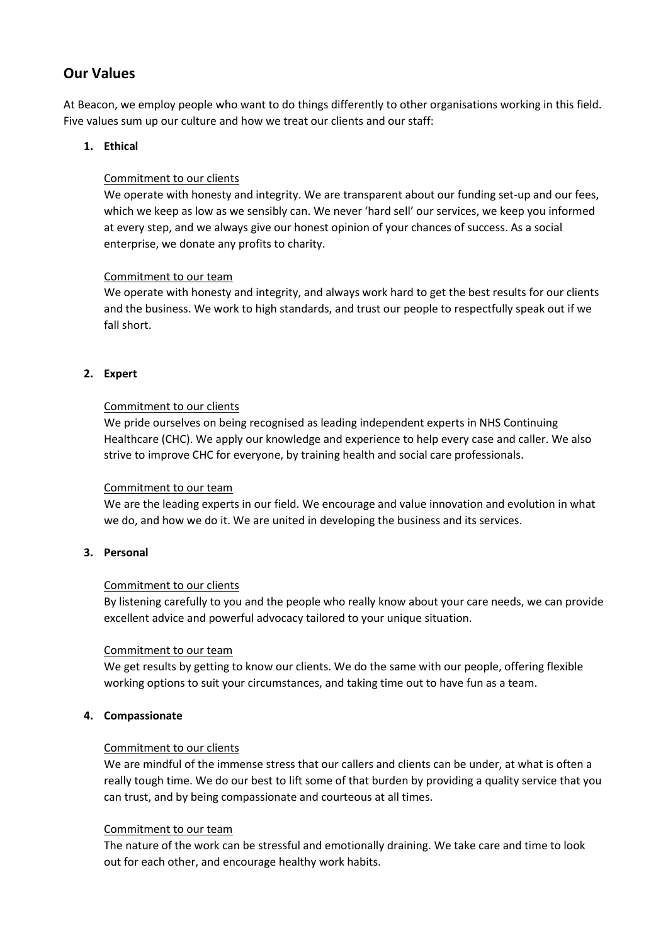# **Our Values**

At Beacon, we employ people who want to do things differently to other organisations working in this field. Five values sum up our culture and how we treat our clients and our staff:

### **1. Ethical**

#### Commitment to our clients

We operate with honesty and integrity. We are transparent about our funding set-up and our fees, which we keep as low as we sensibly can. We never 'hard sell' our services, we keep you informed at every step, and we always give our honest opinion of your chances of success. As a social enterprise, we donate any profits to charity.

#### Commitment to our team

We operate with honesty and integrity, and always work hard to get the best results for our clients and the business. We work to high standards, and trust our people to respectfully speak out if we fall short.

#### **2. Expert**

#### Commitment to our clients

We pride ourselves on being recognised as leading independent experts in NHS Continuing Healthcare (CHC). We apply our knowledge and experience to help every case and caller. We also strive to improve CHC for everyone, by training health and social care professionals.

#### Commitment to our team

We are the leading experts in our field. We encourage and value innovation and evolution in what we do, and how we do it. We are united in developing the business and its services.

#### **3. Personal**

#### Commitment to our clients

By listening carefully to you and the people who really know about your care needs, we can provide excellent advice and powerful advocacy tailored to your unique situation.

#### Commitment to our team

We get results by getting to know our clients. We do the same with our people, offering flexible working options to suit your circumstances, and taking time out to have fun as a team.

#### **4. Compassionate**

#### Commitment to our clients

We are mindful of the immense stress that our callers and clients can be under, at what is often a really tough time. We do our best to lift some of that burden by providing a quality service that you can trust, and by being compassionate and courteous at all times.

#### Commitment to our team

The nature of the work can be stressful and emotionally draining. We take care and time to look out for each other, and encourage healthy work habits.